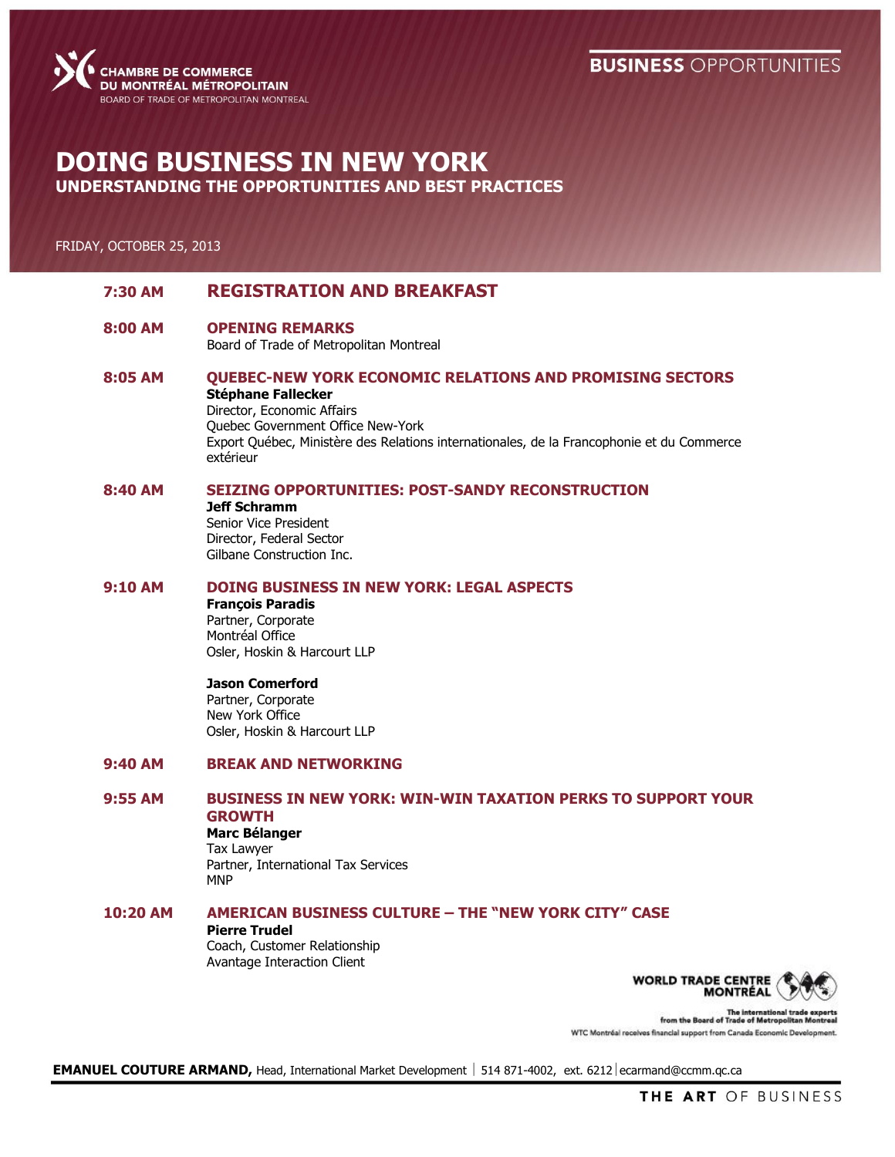### **BUSINESS OPPORTUNITIES**



# **DOING BUSINESS IN NEW YORK UNDERSTANDING THE OPPORTUNITIES AND BEST PRACTICES**

#### FRIDAY, OCTOBER 25, 2013

| 7:30 AM    | <b>REGISTRATION AND BREAKFAST</b>                                                                                                                                                                                                                                         |
|------------|---------------------------------------------------------------------------------------------------------------------------------------------------------------------------------------------------------------------------------------------------------------------------|
| 8:00 AM    | <b>OPENING REMARKS</b><br>Board of Trade of Metropolitan Montreal                                                                                                                                                                                                         |
| 8:05 AM    | <b>QUEBEC-NEW YORK ECONOMIC RELATIONS AND PROMISING SECTORS</b><br><b>Stéphane Fallecker</b><br>Director, Economic Affairs<br>Quebec Government Office New-York<br>Export Québec, Ministère des Relations internationales, de la Francophonie et du Commerce<br>extérieur |
| 8:40 AM    | <b>SEIZING OPPORTUNITIES: POST-SANDY RECONSTRUCTION</b><br><b>Jeff Schramm</b><br>Senior Vice President<br>Director, Federal Sector<br>Gilbane Construction Inc.                                                                                                          |
| 9:10AM     | DOING BUSINESS IN NEW YORK: LEGAL ASPECTS<br><b>François Paradis</b><br>Partner, Corporate<br>Montréal Office<br>Osler, Hoskin & Harcourt LLP                                                                                                                             |
|            | <b>Jason Comerford</b><br>Partner, Corporate<br>New York Office<br>Osler, Hoskin & Harcourt LLP                                                                                                                                                                           |
| 9:40AM     | <b>BREAK AND NETWORKING</b>                                                                                                                                                                                                                                               |
| 9:55 AM    | <b>BUSINESS IN NEW YORK: WIN-WIN TAXATION PERKS TO SUPPORT YOUR</b><br><b>GROWTH</b><br><b>Marc Bélanger</b><br>Tax Lawyer<br>Partner, International Tax Services<br><b>MNP</b>                                                                                           |
| $10:20$ AM | <b>AMERICAN BUSINESS CULTURE - THE "NEW YORK CITY" CASE</b><br><b>Pierre Trudel</b><br>Coach, Customer Relationship<br>Avantage Interaction Client<br><b>WORLD TRADE CENT</b>                                                                                             |



The international trade of<br>from the Board of Trade of Metropolitan Me WTC Montréal receives financial support from Canada Economic Development.

**EMANUEL COUTURE ARMAND, Head, International Market Development | 514 871-4002, ext. 6212 ecarmand@ccmm.qc.ca**